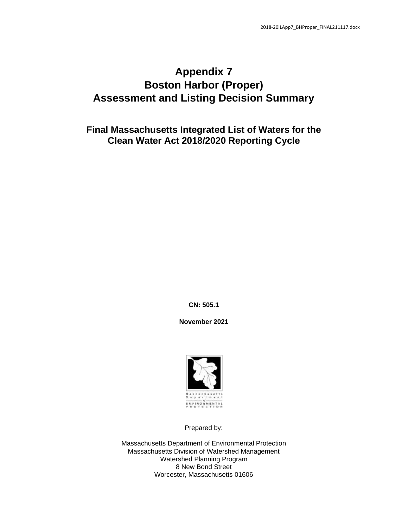# **Appendix 7 Boston Harbor (Proper) Assessment and Listing Decision Summary**

**Final Massachusetts Integrated List of Waters for the Clean Water Act 2018/2020 Reporting Cycle**

**CN: 505.1**

**November 2021**



Prepared by:

Massachusetts Department of Environmental Protection Massachusetts Division of Watershed Management Watershed Planning Program 8 New Bond Street Worcester, Massachusetts 01606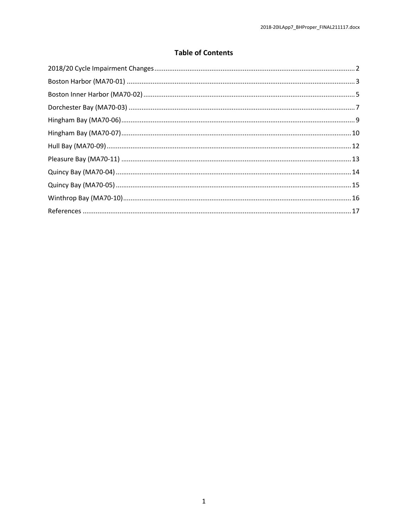### **Table of Contents**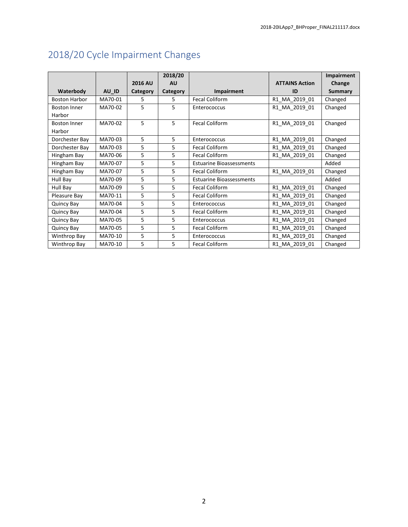|                      |         |                | 2018/20   |                                 |                       | Impairment     |
|----------------------|---------|----------------|-----------|---------------------------------|-----------------------|----------------|
|                      |         | <b>2016 AU</b> | <b>AU</b> |                                 | <b>ATTAINS Action</b> | Change         |
| Waterbody            | AU ID   | Category       | Category  | <b>Impairment</b>               | ID                    | <b>Summary</b> |
| <b>Boston Harbor</b> | MA70-01 | 5.             | 5.        | Fecal Coliform                  | R1_MA_2019_01         | Changed        |
| <b>Boston Inner</b>  | MA70-02 | 5.             | 5         | Enterococcus                    | R1 MA 2019 01         | Changed        |
| Harbor               |         |                |           |                                 |                       |                |
| <b>Boston Inner</b>  | MA70-02 | 5              | 5         | <b>Fecal Coliform</b>           | R1 MA 2019 01         | Changed        |
| Harbor               |         |                |           |                                 |                       |                |
| Dorchester Bay       | MA70-03 | 5              | 5         | Enterococcus                    | R1 MA 2019 01         | Changed        |
| Dorchester Bay       | MA70-03 | 5              | 5         | <b>Fecal Coliform</b>           | R1 MA 2019 01         | Changed        |
| Hingham Bay          | MA70-06 | 5              | 5         | <b>Fecal Coliform</b>           | R1 MA 2019 01         | Changed        |
| Hingham Bay          | MA70-07 | 5              | 5         | <b>Estuarine Bioassessments</b> |                       | Added          |
| Hingham Bay          | MA70-07 | 5              | 5         | <b>Fecal Coliform</b>           | R1_MA_2019_01         | Changed        |
| Hull Bay             | MA70-09 | 5              | 5         | <b>Estuarine Bioassessments</b> |                       | Added          |
| Hull Bay             | MA70-09 | 5              | 5         | Fecal Coliform                  | R1 MA 2019 01         | Changed        |
| Pleasure Bay         | MA70-11 | 5              | 5         | <b>Fecal Coliform</b>           | R1 MA 2019 01         | Changed        |
| Quincy Bay           | MA70-04 | 5              | 5         | Enterococcus                    | R1_MA_2019_01         | Changed        |
| Quincy Bay           | MA70-04 | 5              | 5         | <b>Fecal Coliform</b>           | R1 MA 2019 01         | Changed        |
| Quincy Bay           | MA70-05 | 5              | 5         | Enterococcus                    | R1 MA 2019 01         | Changed        |
| Quincy Bay           | MA70-05 | 5              | 5         | Fecal Coliform                  | R1 MA 2019 01         | Changed        |
| Winthrop Bay         | MA70-10 | 5              | 5         | Enterococcus                    | R1 MA 2019 01         | Changed        |
| Winthrop Bay         | MA70-10 | 5              | 5         | <b>Fecal Coliform</b>           | R1 MA 2019 01         | Changed        |

# <span id="page-2-0"></span>2018/20 Cycle Impairment Changes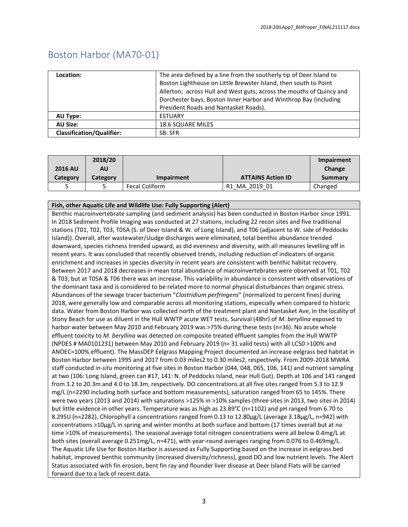# <span id="page-3-0"></span>Boston Harbor (MA70-01)

| Location:                        | The area defined by a line from the southerly tip of Deer Island to<br>Boston Lighthouse on Little Brewster Island, then south to Point<br>Allerton; across Hull and West guts; across the mouths of Quincy and |
|----------------------------------|-----------------------------------------------------------------------------------------------------------------------------------------------------------------------------------------------------------------|
|                                  | Dorchester bays, Boston Inner Harbor and Winthrop Bay (including                                                                                                                                                |
|                                  | President Roads and Nantasket Roads).                                                                                                                                                                           |
| <b>AU Type:</b>                  | <b>ESTUARY</b>                                                                                                                                                                                                  |
| <b>AU Size:</b>                  | <b>18.6 SQUARE MILES</b>                                                                                                                                                                                        |
| <b>Classification/Qualifier:</b> | SB: SFR                                                                                                                                                                                                         |

| <b>2016 AU</b> | 2018/20<br><b>AU</b> |                       |                          | Impairment<br>Change |
|----------------|----------------------|-----------------------|--------------------------|----------------------|
| Category       | Category             | Impairment            | <b>ATTAINS Action ID</b> | Summary              |
|                |                      | <b>Fecal Coliform</b> | R1 MA 2019 01            | Changed              |

#### **Fish, other Aquatic Life and Wildlife Use: Fully Supporting (Alert)**

Benthic macroinvertebrate sampling (and sediment analysis) has been conducted in Boston Harbor since 1991. In 2018 Sediment Profile Imaging was conducted at 27 stations, including 22 recon sites and five traditional stations (T01, T02, T03, T05A (S. of Deer Island & W. of Long Island), and T06 (adjacent to W. side of Peddocks Island)). Overall, after wastewater/sludge discharges were eliminated, total benthic abundance trended downward, species richness trended upward, as did evenness and diversity, with all measures levelling off in recent years. It was concluded that recently observed trends, including reduction of indicators of organic enrichment and increases in species diversity in recent years are consistent with benthic habitat recovery. Between 2017 and 2018 decreases in mean total abundance of macroinvertebrates were observed at T01, T02 & T03; but at T05A & T06 there was an increase. This variability in abundance is consistent with observations of the dominant taxa and is considered to be related more to normal physical disturbances than organic stress. Abundances of the sewage tracer bacterium "*Clostridium perfringens*" (normalized to percent fines) during 2018, were generally low and comparable across all monitoring stations, especially when compared to historic data. Water from Boston Harbor was collected north of the treatment plant and Nantasket Ave, in the locality of Stony Beach for use as diluent in the Hull WWTP acute WET tests. Survival (48hr) of *M. beryllina* exposed to harbor water between May 2010 and February 2019 was >75% during these tests (n=36). No acute whole effluent toxicity to *M. beryllina* was detected on composite treated effluent samples from the Hull WWTP (NPDES # MA0101231) between May 2010 and February 2019 (n= 31 valid tests) with all LC50 >100% and ANOEC=100% effluent). The MassDEP Eelgrass Mapping Project documented an increase eelgrass bed habitat in Boston Harbor between 1995 and 2017 from 0.03 miles2 to 0.30 miles2, respectively. From 2009-2018 MWRA staff conducted *in-situ* monitoring at five sites in Boston Harbor (044, 048, 065, 106, 141) and nutrient sampling at two (106: Long Island, green can #17, 141: N. of Peddocks Island, near Hull Gut). Depth at 106 and 141 ranged from 3.2 to 20.3m and 4.0 to 18.3m, respectively. DO concentrations at all five sites ranged from 5.3 to 12.9 mg/L (n=2290 including both surface and bottom measurements), saturation ranged from 65 to 145%. There were two years (2013 and 2014) with saturations >125% in >10% samples (three sites in 2013, two sites in 2014) but little evidence in other years. Temperature was as high as 23.89°C (n=1102) and pH ranged from 6.70 to 8.29SU (n=2282). Chlorophyll a concentrations ranged from 0.13 to 12.80µg/L (average 3.18µg/L, n=942) with concentrations >10µg/L in spring and winter months at both surface and bottom (17 times overall but at no time >10% of measurements). The seasonal average total nitrogen concentrations were all below 0.4mg/L at both sites (overall average 0.251mg/L, n=471), with year-round averages ranging from 0.076 to 0.469mg/L. The Aquatic Life Use for Boston Harbor is assessed as Fully Supporting based on the increase in eelgrass bed habitat, improved benthic community (increased diversity/richness), good DO and low nutrient levels. The Alert Status associated with fin erosion, bent fin ray and flounder liver disease at Deer Island Flats will be carried forward due to a lack of recent data.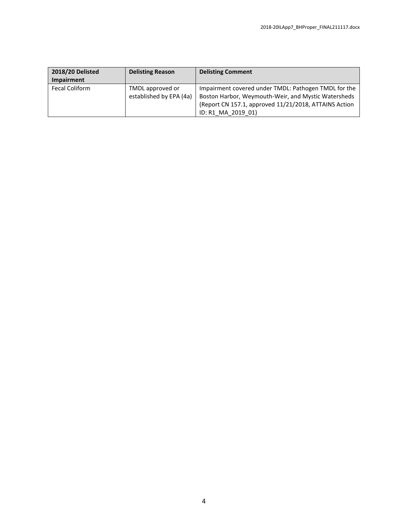| <b>2018/20 Delisted</b><br><b>Impairment</b> | <b>Delisting Reason</b>                     | <b>Delisting Comment</b>                                                                                                                                                                   |
|----------------------------------------------|---------------------------------------------|--------------------------------------------------------------------------------------------------------------------------------------------------------------------------------------------|
| <b>Fecal Coliform</b>                        | TMDL approved or<br>established by EPA (4a) | Impairment covered under TMDL: Pathogen TMDL for the<br>Boston Harbor, Weymouth-Weir, and Mystic Watersheds<br>(Report CN 157.1, approved 11/21/2018, ATTAINS Action<br>ID: R1 MA 2019 01) |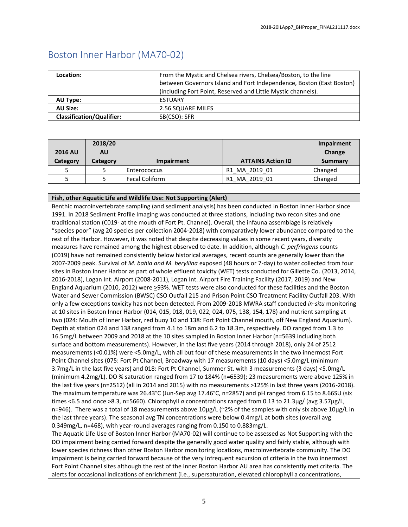### <span id="page-5-0"></span>Boston Inner Harbor (MA70-02)

| Location:                        | From the Mystic and Chelsea rivers, Chelsea/Boston, to the line      |  |
|----------------------------------|----------------------------------------------------------------------|--|
|                                  | between Governors Island and Fort Independence, Boston (East Boston) |  |
|                                  | (including Fort Point, Reserved and Little Mystic channels).         |  |
| AU Type:                         | <b>ESTUARY</b>                                                       |  |
| <b>AU Size:</b>                  | 2.56 SQUARE MILES                                                    |  |
| <b>Classification/Qualifier:</b> | SB(CSO): SFR                                                         |  |

| <b>2016 AU</b><br>Category | 2018/20<br><b>AU</b><br>Category | Impairment            | <b>ATTAINS Action ID</b> | Impairment<br>Change<br>Summary |
|----------------------------|----------------------------------|-----------------------|--------------------------|---------------------------------|
|                            |                                  | Enterococcus          | R1 MA 2019 01            | Changed                         |
|                            |                                  | <b>Fecal Coliform</b> | R1 MA 2019 01            | Changed                         |

**Fish, other Aquatic Life and Wildlife Use: Not Supporting (Alert)**

Benthic macroinvertebrate sampling (and sediment analysis) has been conducted in Boston Inner Harbor since 1991. In 2018 Sediment Profile Imaging was conducted at three stations, including two recon sites and one traditional station (C019- at the mouth of Fort Pt. Channel). Overall, the infauna assemblage is relatively "species poor" (avg 20 species per collection 2004-2018) with comparatively lower abundance compared to the rest of the Harbor. However, it was noted that despite decreasing values in some recent years, diversity measures have remained among the highest observed to date. In addition, although *C. perfringens* counts (C019) have not remained consistently below historical averages, recent counts are generally lower than the 2007-2009 peak. Survival of *M. bahia and M. beryllina* exposed (48 hours or 7-day) to water collected from four sites in Boston Inner Harbor as part of whole effluent toxicity (WET) tests conducted for Gillette Co. (2013, 2014, 2016-2018), Logan Int. Airport (2008-2011), Logan Int. Airport Fire Training Facility (2017, 2019) and New England Aquarium (2010, 2012) were >93%. WET tests were also conducted for these facilities and the Boston Water and Sewer Commission (BWSC) CSO Outfall 215 and Prison Point CSO Treatment Facility Outfall 203. With only a few exceptions toxicity has not been detected. From 2009-2018 MWRA staff conducted *in-situ* monitoring at 10 sites in Boston Inner Harbor (014, 015, 018, 019, 022, 024, 075, 138, 154, 178) and nutrient sampling at two (024: Mouth of Inner Harbor, red buoy 10 and 138: Fort Point Channel mouth, off New England Aquarium). Depth at station 024 and 138 ranged from 4.1 to 18m and 6.2 to 18.3m, respectively. DO ranged from 1.3 to 16.5mg/L between 2009 and 2018 at the 10 sites sampled in Boston Inner Harbor (n=5639 including both surface and bottom measurements). However, in the last five years (2014 through 2018), only 24 of 2512 measurements (<0.01%) were <5.0mg/L, with all but four of these measurements in the two innermost Fort Point Channel sites (075: Fort Pt Channel, Broadway with 17 measurements (10 days) <5.0mg/L (minimum 3.7mg/L in the last five years) and 018: Fort Pt Channel, Summer St. with 3 measurements (3 days) <5.0mg/L (minimum 4.2mg/L). DO % saturation ranged from 17 to 184% (n=6539); 23 measurements were above 125% in the last five years (n=2512) (all in 2014 and 2015) with no measurements >125% in last three years (2016-2018). The maximum temperature was 26.43°C (Jun-Sep avg 17.46°C, n=2857) and pH ranged from 6.15 to 8.66SU (six times <6.5 and once >8.3, n=5660). Chlorophyll *a* concentrations ranged from 0.13 to 21.3µg/ (avg 3.57µg/L, n=946). There was a total of 18 measurements above 10µg/L (~2% of the samples with only six above 10µg/L in the last three years). The seasonal avg TN concentrations were below 0.4mg/L at both sites (overall avg 0.349mg/L, n=468), with year-round averages ranging from 0.150 to 0.883mg/L. The Aquatic Life Use of Boston Inner Harbor (MA70-02) will continue to be assessed as Not Supporting with the

DO impairment being carried forward despite the generally good water quality and fairly stable, although with lower species richness than other Boston Harbor monitoring locations, macroinvertebrate community. The DO impairment is being carried forward because of the very infrequent excursion of criteria in the two innermost Fort Point Channel sites although the rest of the Inner Boston Harbor AU area has consistently met criteria. The alerts for occasional indications of enrichment (i.e., supersaturation, elevated chlorophyll a concentrations,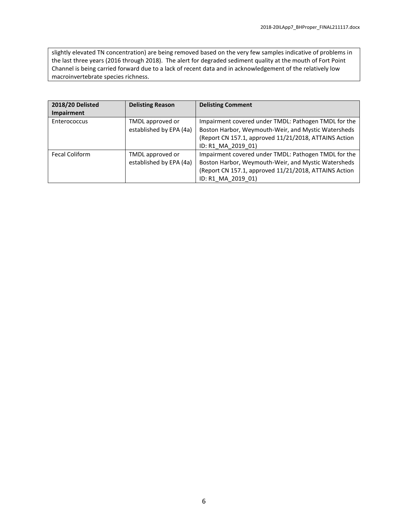slightly elevated TN concentration) are being removed based on the very few samples indicative of problems in the last three years (2016 through 2018). The alert for degraded sediment quality at the mouth of Fort Point Channel is being carried forward due to a lack of recent data and in acknowledgement of the relatively low macroinvertebrate species richness.

| 2018/20 Delisted      | <b>Delisting Reason</b> | <b>Delisting Comment</b>                              |
|-----------------------|-------------------------|-------------------------------------------------------|
| <b>Impairment</b>     |                         |                                                       |
| Enterococcus          | TMDL approved or        | Impairment covered under TMDL: Pathogen TMDL for the  |
|                       | established by EPA (4a) | Boston Harbor, Weymouth-Weir, and Mystic Watersheds   |
|                       |                         | (Report CN 157.1, approved 11/21/2018, ATTAINS Action |
|                       |                         | ID: R1 MA 2019 01)                                    |
| <b>Fecal Coliform</b> | TMDL approved or        | Impairment covered under TMDL: Pathogen TMDL for the  |
|                       | established by EPA (4a) | Boston Harbor, Weymouth-Weir, and Mystic Watersheds   |
|                       |                         | (Report CN 157.1, approved 11/21/2018, ATTAINS Action |
|                       |                         | ID: R1_MA_2019 01)                                    |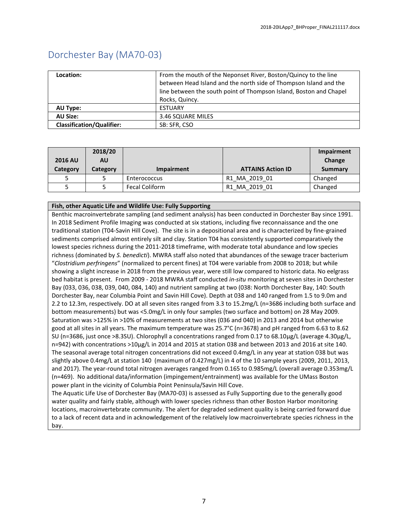### <span id="page-7-0"></span>Dorchester Bay (MA70-03)

| Location:                        | From the mouth of the Neponset River, Boston/Quincy to the line<br>between Head Island and the north side of Thompson Island and the<br>line between the south point of Thompson Island, Boston and Chapel |
|----------------------------------|------------------------------------------------------------------------------------------------------------------------------------------------------------------------------------------------------------|
|                                  | Rocks, Quincy.                                                                                                                                                                                             |
| AU Type:                         | <b>ESTUARY</b>                                                                                                                                                                                             |
| <b>AU Size:</b>                  | 3.46 SQUARE MILES                                                                                                                                                                                          |
| <b>Classification/Qualifier:</b> | SB: SFR, CSO                                                                                                                                                                                               |

| <b>2016 AU</b><br>Category | 2018/20<br><b>AU</b><br>Category | Impairment            | <b>ATTAINS Action ID</b> | Impairment<br>Change<br>Summary |
|----------------------------|----------------------------------|-----------------------|--------------------------|---------------------------------|
| 5                          |                                  | Enterococcus          | R1 MA 2019 01            | Changed                         |
| 5                          |                                  | <b>Fecal Coliform</b> | R1 MA 2019 01            | Changed                         |

#### **Fish, other Aquatic Life and Wildlife Use: Fully Supporting**

Benthic macroinvertebrate sampling (and sediment analysis) has been conducted in Dorchester Bay since 1991. In 2018 Sediment Profile Imaging was conducted at six stations, including five reconnaissance and the one traditional station (T04-Savin Hill Cove). The site is in a depositional area and is characterized by fine-grained sediments comprised almost entirely silt and clay. Station T04 has consistently supported comparatively the lowest species richness during the 2011-2018 timeframe, with moderate total abundance and low species richness (dominated by *S. benedicti*). MWRA staff also noted that abundances of the sewage tracer bacterium "*Clostridium perfringens*" (normalized to percent fines) at T04 were variable from 2008 to 2018; but while showing a slight increase in 2018 from the previous year, were still low compared to historic data. No eelgrass bed habitat is present. From 2009 - 2018 MWRA staff conducted *in-situ* monitoring at seven sites in Dorchester Bay (033, 036, 038, 039, 040, 084, 140) and nutrient sampling at two (038: North Dorchester Bay, 140: South Dorchester Bay, near Columbia Point and Savin Hill Cove). Depth at 038 and 140 ranged from 1.5 to 9.0m and 2.2 to 12.3m, respectively. DO at all seven sites ranged from 3.3 to 15.2mg/L (n=3686 including both surface and bottom measurements) but was <5.0mg/L in only four samples (two surface and bottom) on 28 May 2009. Saturation was >125% in >10% of measurements at two sites (036 and 040) in 2013 and 2014 but otherwise good at all sites in all years. The maximum temperature was 25.7°C (n=3678) and pH ranged from 6.63 to 8.62 SU (n=3686, just once >8.3SU). Chlorophyll a concentrations ranged from 0.17 to 68.10µg/L (average 4.30µg/L, n=942) with concentrations >10µg/L in 2014 and 2015 at station 038 and between 2013 and 2016 at site 140. The seasonal average total nitrogen concentrations did not exceed 0.4mg/L in any year at station 038 but was slightly above 0.4mg/L at station 140 (maximum of 0.427mg/L) in 4 of the 10 sample years (2009, 2011, 2013, and 2017). The year-round total nitrogen averages ranged from 0.165 to 0.985mg/L (overall average 0.353mg/L (n=469). No additional data/information (impingement/entrainment) was available for the UMass Boston power plant in the vicinity of Columbia Point Peninsula/Savin Hill Cove. The Aquatic Life Use of Dorchester Bay (MA70-03) is assessed as Fully Supporting due to the generally good

water quality and fairly stable, although with lower species richness than other Boston Harbor monitoring locations, macroinvertebrate community. The alert for degraded sediment quality is being carried forward due to a lack of recent data and in acknowledgement of the relatively low macroinvertebrate species richness in the bay.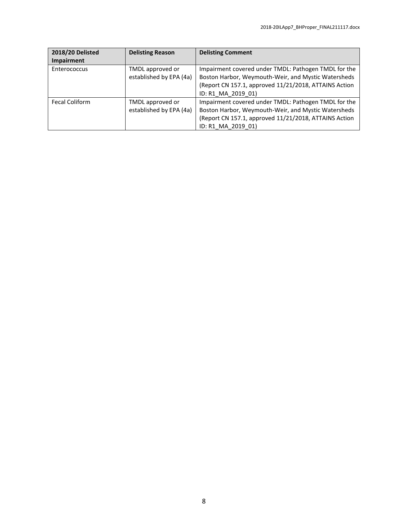| 2018/20 Delisted      | <b>Delisting Reason</b> | <b>Delisting Comment</b>                              |
|-----------------------|-------------------------|-------------------------------------------------------|
| <b>Impairment</b>     |                         |                                                       |
| Enterococcus          | TMDL approved or        | Impairment covered under TMDL: Pathogen TMDL for the  |
|                       | established by EPA (4a) | Boston Harbor, Weymouth-Weir, and Mystic Watersheds   |
|                       |                         | (Report CN 157.1, approved 11/21/2018, ATTAINS Action |
|                       |                         | ID: R1 MA 2019 01)                                    |
| <b>Fecal Coliform</b> | TMDL approved or        | Impairment covered under TMDL: Pathogen TMDL for the  |
|                       | established by EPA (4a) | Boston Harbor, Weymouth-Weir, and Mystic Watersheds   |
|                       |                         | (Report CN 157.1, approved 11/21/2018, ATTAINS Action |
|                       |                         | ID: R1 MA 2019 01)                                    |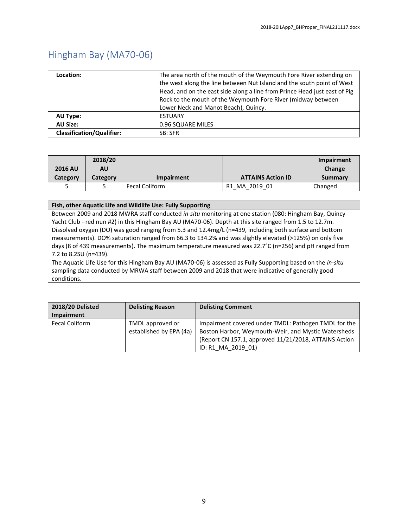### <span id="page-9-0"></span>Hingham Bay (MA70-06)

| Location:                        | The area north of the mouth of the Weymouth Fore River extending on<br>the west along the line between Nut Island and the south point of West<br>Head, and on the east side along a line from Prince Head just east of Pig<br>Rock to the mouth of the Weymouth Fore River (midway between |
|----------------------------------|--------------------------------------------------------------------------------------------------------------------------------------------------------------------------------------------------------------------------------------------------------------------------------------------|
|                                  | Lower Neck and Manot Beach), Quincy.                                                                                                                                                                                                                                                       |
| <b>AU Type:</b>                  | <b>ESTUARY</b>                                                                                                                                                                                                                                                                             |
| <b>AU Size:</b>                  | 0.96 SQUARE MILES                                                                                                                                                                                                                                                                          |
| <b>Classification/Qualifier:</b> | SB: SFR                                                                                                                                                                                                                                                                                    |

| <b>2016 AU</b> | 2018/20<br>AU |                       |                          | Impairment<br>Change |
|----------------|---------------|-----------------------|--------------------------|----------------------|
| Category       | Category      | Impairment            | <b>ATTAINS Action ID</b> | Summary              |
|                |               | <b>Fecal Coliform</b> | MA 2019 01<br>R1         | Changed              |

#### **Fish, other Aquatic Life and Wildlife Use: Fully Supporting**

Between 2009 and 2018 MWRA staff conducted *in-situ* monitoring at one station (080: Hingham Bay, Quincy Yacht Club - red nun #2) in this Hingham Bay AU (MA70-06). Depth at this site ranged from 1.5 to 12.7m. Dissolved oxygen (DO) was good ranging from 5.3 and 12.4mg/L (n=439, including both surface and bottom measurements). DO% saturation ranged from 66.3 to 134.2% and was slightly elevated (>125%) on only five days (8 of 439 measurements). The maximum temperature measured was 22.7°C (n=256) and pH ranged from 7.2 to 8.2SU (n=439).

The Aquatic Life Use for this Hingham Bay AU (MA70-06) is assessed as Fully Supporting based on the *in-situ*  sampling data conducted by MRWA staff between 2009 and 2018 that were indicative of generally good conditions.

| <b>2018/20 Delisted</b><br>Impairment | <b>Delisting Reason</b>                     | <b>Delisting Comment</b>                                                                                                                                                                   |
|---------------------------------------|---------------------------------------------|--------------------------------------------------------------------------------------------------------------------------------------------------------------------------------------------|
| <b>Fecal Coliform</b>                 | TMDL approved or<br>established by EPA (4a) | Impairment covered under TMDL: Pathogen TMDL for the<br>Boston Harbor, Weymouth-Weir, and Mystic Watersheds<br>(Report CN 157.1, approved 11/21/2018, ATTAINS Action<br>ID: R1 MA 2019 01) |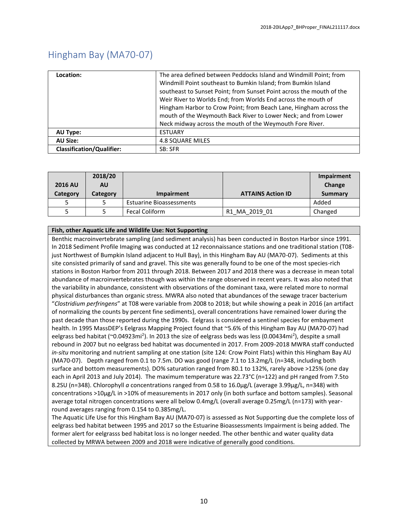# <span id="page-10-0"></span>Hingham Bay (MA70-07)

| Location:                        | The area defined between Peddocks Island and Windmill Point; from<br>Windmill Point southeast to Bumkin Island; from Bumkin Island<br>southeast to Sunset Point; from Sunset Point across the mouth of the<br>Weir River to Worlds End; from Worlds End across the mouth of<br>Hingham Harbor to Crow Point; from Beach Lane, Hingham across the |
|----------------------------------|--------------------------------------------------------------------------------------------------------------------------------------------------------------------------------------------------------------------------------------------------------------------------------------------------------------------------------------------------|
|                                  | mouth of the Weymouth Back River to Lower Neck; and from Lower<br>Neck midway across the mouth of the Weymouth Fore River.                                                                                                                                                                                                                       |
| <b>AU Type:</b>                  | <b>ESTUARY</b>                                                                                                                                                                                                                                                                                                                                   |
| <b>AU Size:</b>                  | 4.8 SQUARE MILES                                                                                                                                                                                                                                                                                                                                 |
| <b>Classification/Qualifier:</b> | SB: SFR                                                                                                                                                                                                                                                                                                                                          |

| <b>2016 AU</b><br>Category | 2018/20<br><b>AU</b><br>Category | Impairment                      | <b>ATTAINS Action ID</b> | Impairment<br>Change<br>Summary |
|----------------------------|----------------------------------|---------------------------------|--------------------------|---------------------------------|
|                            |                                  | <b>Estuarine Bioassessments</b> |                          | Added                           |
|                            |                                  | <b>Fecal Coliform</b>           | R1 MA 2019 01            | Changed                         |

### **Fish, other Aquatic Life and Wildlife Use: Not Supporting**

Benthic macroinvertebrate sampling (and sediment analysis) has been conducted in Boston Harbor since 1991. In 2018 Sediment Profile Imaging was conducted at 12 reconnaissance stations and one traditional station (T08 just Northwest of Bumpkin Island adjacent to Hull Bay), in this Hingham Bay AU (MA70-07). Sediments at this site consisted primarily of sand and gravel. This site was generally found to be one of the most species-rich stations in Boston Harbor from 2011 through 2018. Between 2017 and 2018 there was a decrease in mean total abundance of macroinvertebrates though was within the range observed in recent years. It was also noted that the variability in abundance, consistent with observations of the dominant taxa, were related more to normal physical disturbances than organic stress. MWRA also noted that abundances of the sewage tracer bacterium "*Clostridium perfringens*" at T08 were variable from 2008 to 2018; but while showing a peak in 2016 (an artifact of normalizing the counts by percent fine sediments), overall concentrations have remained lower during the past decade than those reported during the 1990s. Eelgrass is considered a sentinel species for embayment health. In 1995 MassDEP's Eelgrass Mapping Project found that ~5.6% of this Hingham Bay AU (MA70-07) had eelgrass bed habitat (~0.04923mi<sup>2</sup>). In 2013 the size of eelgrass beds was less (0.00434mi<sup>2</sup>), despite a small rebound in 2007 but no eelgrass bed habitat was documented in 2017. From 2009-2018 MWRA staff conducted *in-situ* monitoring and nutrient sampling at one station (site 124: Crow Point Flats) within this Hingham Bay AU (MA70-07). Depth ranged from 0.1 to 7.5m. DO was good (range 7.1 to 13.2mg/L (n=348, including both surface and bottom measurements). DO% saturation ranged from 80.1 to 132%, rarely above >125% (one day each in April 2013 and July 2014). The maximum temperature was 22.73°C (n=122) and pH ranged from 7.5to 8.2SU (n=348). Chlorophyll *a* concentrations ranged from 0.58 to 16.0µg/L (average 3.99µg/L, n=348) with concentrations >10µg/L in >10% of measurements in 2017 only (in both surface and bottom samples). Seasonal average total nitrogen concentrations were all below 0.4mg/L (overall average 0.25mg/L (n=173) with yearround averages ranging from 0.154 to 0.385mg/L.

The Aquatic Life Use for this Hingham Bay AU (MA70-07) is assessed as Not Supporting due the complete loss of eelgrass bed habitat between 1995 and 2017 so the Estuarine Bioassessments Impairment is being added. The former alert for eelgrasss bed habitat loss is no longer needed. The other benthic and water quality data collected by MRWA between 2009 and 2018 were indicative of generally good conditions.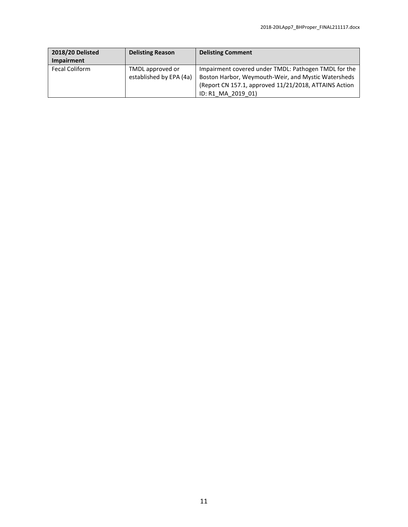| <b>2018/20 Delisted</b> | <b>Delisting Reason</b> | <b>Delisting Comment</b>                              |
|-------------------------|-------------------------|-------------------------------------------------------|
| Impairment              |                         |                                                       |
| <b>Fecal Coliform</b>   | TMDL approved or        | Impairment covered under TMDL: Pathogen TMDL for the  |
|                         | established by EPA (4a) | Boston Harbor, Weymouth-Weir, and Mystic Watersheds   |
|                         |                         | (Report CN 157.1, approved 11/21/2018, ATTAINS Action |
|                         |                         | ID: R1 MA 2019 01)                                    |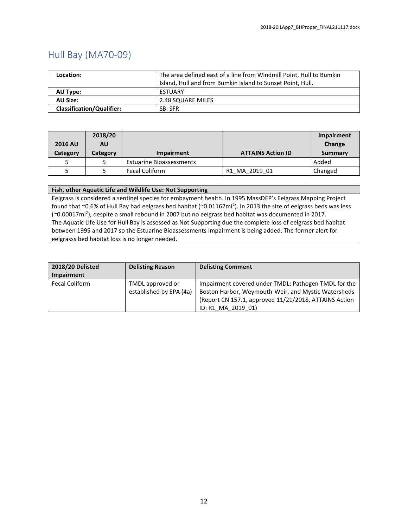### <span id="page-12-0"></span>Hull Bay (MA70-09)

| Location:                        | The area defined east of a line from Windmill Point, Hull to Bumkin |  |
|----------------------------------|---------------------------------------------------------------------|--|
|                                  | Island, Hull and from Bumkin Island to Sunset Point, Hull.          |  |
| AU Type:                         | <b>ESTUARY</b>                                                      |  |
| AU Size:                         | 2.48 SQUARE MILES                                                   |  |
| <b>Classification/Qualifier:</b> | SB: SFR                                                             |  |

| <b>2016 AU</b><br>Category | 2018/20<br><b>AU</b><br>Category | Impairment                      | <b>ATTAINS Action ID</b> | Impairment<br>Change<br>Summary |
|----------------------------|----------------------------------|---------------------------------|--------------------------|---------------------------------|
| 5                          |                                  | <b>Estuarine Bioassessments</b> |                          | Added                           |
| 5                          |                                  | <b>Fecal Coliform</b>           | R1 MA 2019 01            | Changed                         |

#### **Fish, other Aquatic Life and Wildlife Use: Not Supporting**

Eelgrass is considered a sentinel species for embayment health. In 1995 MassDEP's Eelgrass Mapping Project found that ~0.6% of Hull Bay had eelgrass bed habitat (~0.01162mi<sup>2</sup>). In 2013 the size of eelgrass beds was less (~0.00017mi<sup>2</sup>), despite a small rebound in 2007 but no eelgrass bed habitat was documented in 2017. The Aquatic Life Use for Hull Bay is assessed as Not Supporting due the complete loss of eelgrass bed habitat between 1995 and 2017 so the Estuarine Bioassessments Impairment is being added. The former alert for eelgrasss bed habitat loss is no longer needed.

| <b>2018/20 Delisted</b><br>Impairment | <b>Delisting Reason</b>                     | <b>Delisting Comment</b>                                                                                                                                                                   |
|---------------------------------------|---------------------------------------------|--------------------------------------------------------------------------------------------------------------------------------------------------------------------------------------------|
| <b>Fecal Coliform</b>                 | TMDL approved or<br>established by EPA (4a) | Impairment covered under TMDL: Pathogen TMDL for the<br>Boston Harbor, Weymouth-Weir, and Mystic Watersheds<br>(Report CN 157.1, approved 11/21/2018, ATTAINS Action<br>ID: R1 MA 2019 01) |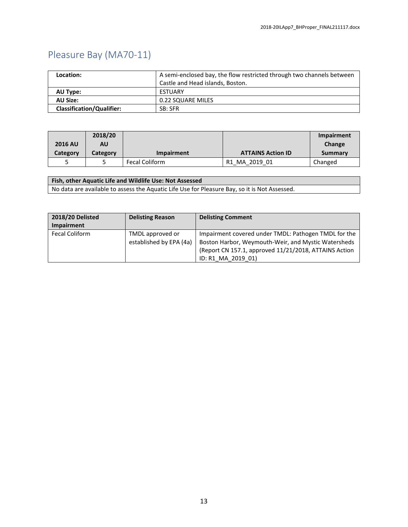# <span id="page-13-0"></span>Pleasure Bay (MA70-11)

| Location:                        | A semi-enclosed bay, the flow restricted through two channels between |  |
|----------------------------------|-----------------------------------------------------------------------|--|
|                                  | Castle and Head islands, Boston.                                      |  |
| AU Type:                         | <b>ESTUARY</b>                                                        |  |
| AU Size:                         | 0.22 SQUARE MILES                                                     |  |
| <b>Classification/Qualifier:</b> | SB: SFR                                                               |  |

|                 | 2018/20  |            |                          | Impairment |
|-----------------|----------|------------|--------------------------|------------|
| <b>2016 AU</b>  | AU       |            |                          | Change     |
| <b>Category</b> |          |            | <b>ATTAINS Action ID</b> |            |
|                 | Category | Impairment |                          | Summary    |

### **Fish, other Aquatic Life and Wildlife Use: Not Assessed**

No data are available to assess the Aquatic Life Use for Pleasure Bay, so it is Not Assessed.

| 2018/20 Delisted<br>Impairment | <b>Delisting Reason</b>                     | <b>Delisting Comment</b>                                                                                                                                                                   |
|--------------------------------|---------------------------------------------|--------------------------------------------------------------------------------------------------------------------------------------------------------------------------------------------|
| <b>Fecal Coliform</b>          | TMDL approved or<br>established by EPA (4a) | Impairment covered under TMDL: Pathogen TMDL for the<br>Boston Harbor, Weymouth-Weir, and Mystic Watersheds<br>(Report CN 157.1, approved 11/21/2018, ATTAINS Action<br>ID: R1 MA 2019 01) |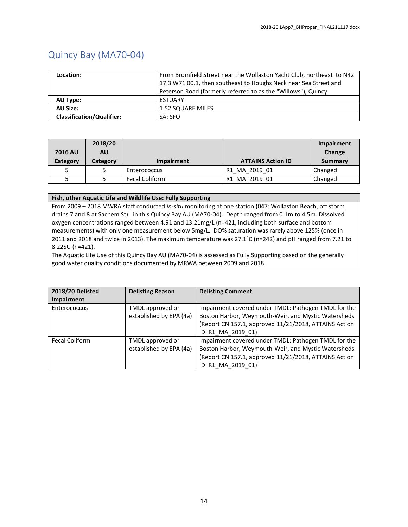# <span id="page-14-0"></span>Quincy Bay (MA70-04)

| Location:                        | From Bromfield Street near the Wollaston Yacht Club, northeast to N42 |  |
|----------------------------------|-----------------------------------------------------------------------|--|
|                                  | 17.3 W71 00.1, then southeast to Houghs Neck near Sea Street and      |  |
|                                  | Peterson Road (formerly referred to as the "Willows"), Quincy.        |  |
| AU Type:                         | <b>ESTUARY</b>                                                        |  |
| <b>AU Size:</b>                  | <b>1.52 SQUARE MILES</b>                                              |  |
| <b>Classification/Qualifier:</b> | SA: SFO                                                               |  |

| <b>2016 AU</b><br>Category | 2018/20<br><b>AU</b><br><b>Category</b> | Impairment     | <b>ATTAINS Action ID</b> | Impairment<br>Change<br>Summary |
|----------------------------|-----------------------------------------|----------------|--------------------------|---------------------------------|
|                            |                                         | Enterococcus   | R1 MA 2019 01            | Changed                         |
|                            |                                         | Fecal Coliform | R1 MA 2019 01            | Changed                         |

**Fish, other Aquatic Life and Wildlife Use: Fully Supporting**

From 2009 – 2018 MWRA staff conducted *in-situ* monitoring at one station (047: Wollaston Beach, off storm drains 7 and 8 at Sachem St). in this Quincy Bay AU (MA70-04). Depth ranged from 0.1m to 4.5m. Dissolved oxygen concentrations ranged between 4.91 and 13.21mg/L (n=421, including both surface and bottom measurements) with only one measurement below 5mg/L. DO% saturation was rarely above 125% (once in 2011 and 2018 and twice in 2013). The maximum temperature was 27.1°C (n=242) and pH ranged from 7.21 to 8.22SU (n=421).

The Aquatic Life Use of this Quincy Bay AU (MA70-04) is assessed as Fully Supporting based on the generally good water quality conditions documented by MRWA between 2009 and 2018.

| <b>2018/20 Delisted</b> | <b>Delisting Reason</b> | <b>Delisting Comment</b>                              |
|-------------------------|-------------------------|-------------------------------------------------------|
| Impairment              |                         |                                                       |
| Enterococcus            | TMDL approved or        | Impairment covered under TMDL: Pathogen TMDL for the  |
|                         | established by EPA (4a) | Boston Harbor, Weymouth-Weir, and Mystic Watersheds   |
|                         |                         | (Report CN 157.1, approved 11/21/2018, ATTAINS Action |
|                         |                         | ID: R1 MA 2019 01)                                    |
| <b>Fecal Coliform</b>   | TMDL approved or        | Impairment covered under TMDL: Pathogen TMDL for the  |
|                         | established by EPA (4a) | Boston Harbor, Weymouth-Weir, and Mystic Watersheds   |
|                         |                         | (Report CN 157.1, approved 11/21/2018, ATTAINS Action |
|                         |                         | ID: R1_MA_2019 01)                                    |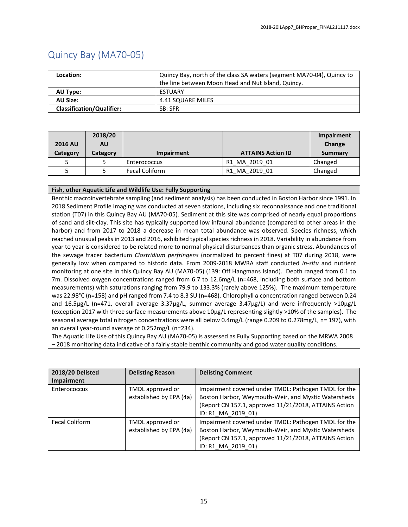# <span id="page-15-0"></span>Quincy Bay (MA70-05)

| Location:                        | Quincy Bay, north of the class SA waters (segment MA70-04), Quincy to |  |
|----------------------------------|-----------------------------------------------------------------------|--|
|                                  | the line between Moon Head and Nut Island, Quincy.                    |  |
| AU Type:                         | <b>ESTUARY</b>                                                        |  |
| <b>AU Size:</b>                  | 4.41 SQUARE MILES                                                     |  |
| <b>Classification/Qualifier:</b> | SB: SFR                                                               |  |

| <b>2016 AU</b> | 2018/20<br><b>AU</b> |                       | <b>ATTAINS Action ID</b> | Impairment<br>Change |
|----------------|----------------------|-----------------------|--------------------------|----------------------|
| Category       | Category             | Impairment            |                          | Summary              |
|                |                      | Enterococcus          | R1 MA 2019 01            | Changed              |
|                |                      | <b>Fecal Coliform</b> | MA 2019 01<br>R1         | Changed              |

#### **Fish, other Aquatic Life and Wildlife Use: Fully Supporting**

Benthic macroinvertebrate sampling (and sediment analysis) has been conducted in Boston Harbor since 1991. In 2018 Sediment Profile Imaging was conducted at seven stations, including six reconnaissance and one traditional station (T07) in this Quincy Bay AU (MA70-05). Sediment at this site was comprised of nearly equal proportions of sand and silt-clay. This site has typically supported low infaunal abundance (compared to other areas in the harbor) and from 2017 to 2018 a decrease in mean total abundance was observed. Species richness, which reached unusual peaks in 2013 and 2016, exhibited typical species richness in 2018. Variability in abundance from year to year is considered to be related more to normal physical disturbances than organic stress. Abundances of the sewage tracer bacterium *Clostridium perfringens* (normalized to percent fines) at T07 during 2018, were generally low when compared to historic data. From 2009-2018 MWRA staff conducted *in-situ* and nutrient monitoring at one site in this Quincy Bay AU (MA70-05) (139: Off Hangmans Island). Depth ranged from 0.1 to 7m. Dissolved oxygen concentrations ranged from 6.7 to 12.6mg/L (n=468, including both surface and bottom measurements) with saturations ranging from 79.9 to 133.3% (rarely above 125%). The maximum temperature was 22.98°C (n=158) and pH ranged from 7.4 to 8.3 SU (n=468). Chlorophyll *a* concentration ranged between 0.24 and 16.5µg/L (n=471, overall average 3.37µg/L, summer average 3.47µg/L) and were infrequently >10µg/L (exception 2017 with three surface measurements above 10µg/L representing slightly >10% of the samples). The seasonal average total nitrogen concentrations were all below 0.4mg/L (range 0.209 to 0.278mg/L, n= 197), with an overall year-round average of 0.252mg/L (n=234).

The Aquatic Life Use of this Quincy Bay AU (MA70-05) is assessed as Fully Supporting based on the MRWA 2008 – 2018 monitoring data indicative of a fairly stable benthic community and good water quality conditions.

| 2018/20 Delisted<br>Impairment | <b>Delisting Reason</b>                     | <b>Delisting Comment</b>                                                                                                                                                                   |
|--------------------------------|---------------------------------------------|--------------------------------------------------------------------------------------------------------------------------------------------------------------------------------------------|
| Enterococcus                   | TMDL approved or<br>established by EPA (4a) | Impairment covered under TMDL: Pathogen TMDL for the<br>Boston Harbor, Weymouth-Weir, and Mystic Watersheds<br>(Report CN 157.1, approved 11/21/2018, ATTAINS Action<br>ID: R1 MA 2019 01) |
| <b>Fecal Coliform</b>          | TMDL approved or<br>established by EPA (4a) | Impairment covered under TMDL: Pathogen TMDL for the<br>Boston Harbor, Weymouth-Weir, and Mystic Watersheds<br>(Report CN 157.1, approved 11/21/2018, ATTAINS Action<br>ID: R1 MA 2019 01) |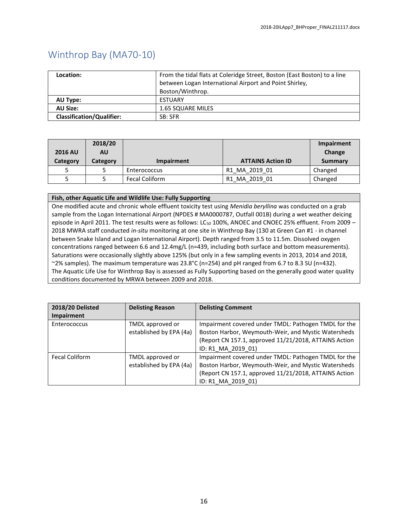# <span id="page-16-0"></span>Winthrop Bay (MA70-10)

| Location:                        | From the tidal flats at Coleridge Street, Boston (East Boston) to a line |  |
|----------------------------------|--------------------------------------------------------------------------|--|
|                                  | between Logan International Airport and Point Shirley,                   |  |
|                                  | Boston/Winthrop.                                                         |  |
| AU Type:                         | <b>ESTUARY</b>                                                           |  |
| AU Size:                         | 1.65 SQUARE MILES                                                        |  |
| <b>Classification/Qualifier:</b> | SB: SFR                                                                  |  |

| <b>2016 AU</b><br>Category | 2018/20<br><b>AU</b><br>Category | Impairment            | <b>ATTAINS Action ID</b> | Impairment<br>Change<br>Summary |
|----------------------------|----------------------------------|-----------------------|--------------------------|---------------------------------|
|                            |                                  | Enterococcus          | R1 MA 2019 01            | Changed                         |
|                            |                                  | <b>Fecal Coliform</b> | R1 MA 2019 01            | Changed                         |

#### **Fish, other Aquatic Life and Wildlife Use: Fully Supporting**

One modified acute and chronic whole effluent toxicity test using *Menidia beryllina* was conducted on a grab sample from the Logan International Airport (NPDES # MA0000787, Outfall 001B) during a wet weather deicing episode in April 2011. The test results were as follows: LC<sub>50</sub> 100%, ANOEC and CNOEC 25% effluent. From 2009 -2018 MWRA staff conducted *in-situ* monitoring at one site in Winthrop Bay (130 at Green Can #1 - in channel between Snake Island and Logan International Airport). Depth ranged from 3.5 to 11.5m. Dissolved oxygen concentrations ranged between 6.6 and 12.4mg/L (n=439, including both surface and bottom measurements). Saturations were occasionally slightly above 125% (but only in a few sampling events in 2013, 2014 and 2018, ~2% samples). The maximum temperature was 23.8°C (n=254) and pH ranged from 6.7 to 8.3 SU (n=432). The Aquatic Life Use for Winthrop Bay is assessed as Fully Supporting based on the generally good water quality conditions documented by MRWA between 2009 and 2018.

| <b>2018/20 Delisted</b><br>Impairment | <b>Delisting Reason</b>                     | <b>Delisting Comment</b>                                                                                                                                                                   |
|---------------------------------------|---------------------------------------------|--------------------------------------------------------------------------------------------------------------------------------------------------------------------------------------------|
| Enterococcus                          | TMDL approved or<br>established by EPA (4a) | Impairment covered under TMDL: Pathogen TMDL for the<br>Boston Harbor, Weymouth-Weir, and Mystic Watersheds<br>(Report CN 157.1, approved 11/21/2018, ATTAINS Action<br>ID: R1 MA 2019 01) |
| <b>Fecal Coliform</b>                 | TMDL approved or<br>established by EPA (4a) | Impairment covered under TMDL: Pathogen TMDL for the<br>Boston Harbor, Weymouth-Weir, and Mystic Watersheds<br>(Report CN 157.1, approved 11/21/2018, ATTAINS Action<br>ID: R1 MA 2019 01) |